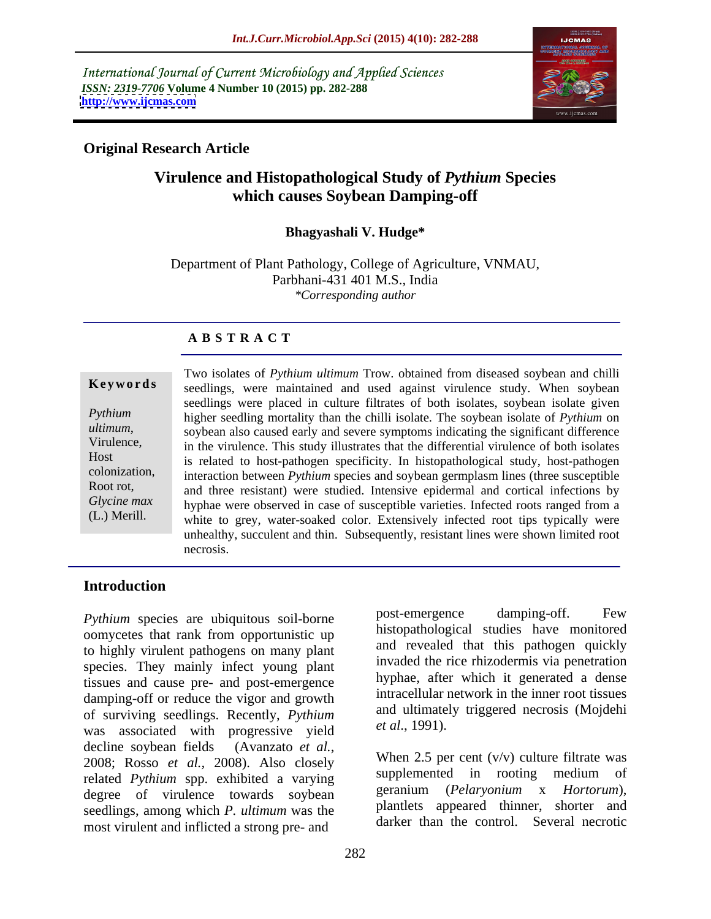International Journal of Current Microbiology and Applied Sciences *ISSN: 2319-7706* **Volume 4 Number 10 (2015) pp. 282-288 <http://www.ijcmas.com>**



### **Original Research Article**

# **Virulence and Histopathological Study of** *Pythium* **Species which causes Soybean Damping-off**

### **Bhagyashali V. Hudge\***

Department of Plant Pathology, College of Agriculture, VNMAU, Parbhani-431 401 M.S., India *\*Corresponding author*

## **A B S T R A C T**

(L.) Merill.

Two isolates of *Pythium ultimum* Trow. obtained from diseased soybean and chilli **Keywords** seedlings, were maintained and used against virulence study. When soybean seedlings were placed in culture filtrates of both isolates, soybean isolate given higher seedling mortality than the chilli isolate. The soybean isolate of *Pythium* on *Pythium ultimum*, soybean also caused early and severe symptoms indicating the significant difference<br>Virulence, in the virulence. This study illustrates that the differential virulence of both isolates in the virulence. This study illustrates that the differential virulence of both isolates is related to host-pathogen specificity. In histopathological study, host-pathogen Host colonization, interaction between *Pythium* species and soybean germplasm lines (three susceptible Root rot, and three resistant) were studied. Intensive epidermal and cortical infections by Glycine max hyphae were observed in case of susceptible varieties. Infected roots ranged from a white to grey, water-soaked color. Extensively infected root tips typically were unhealthy, succulent and thin. Subsequently, resistant lines were shown limited root necrosis.

### **Introduction**

oomycetes that rank from opportunistic up to highly virulent pathogens on many plant species. They mainly infect young plant tissues and cause pre- and post-emergence damping-off or reduce the vigor and growth of surviving seedlings. Recently, *Pythium* and ultimate<br>was associated with **progressive** yield *et al.*, 1991). was associated with progressive yield decline soybean fields (Avanzato *et al.*, 2008; Rosso *et al.*, 2008). Also closely When 2.5 per cent  $(v/v)$  culture filtrate was related *Pythium* spp. exhibited a varying degree of virulence towards soybean seedlings, among which *P. ultimum* was the most virulent and inflicted a strong pre- and

*Pythium* species are ubiquitous soil-borne post-emergence damping-off. Few post-emergence damping-off. Few histopathological studies have monitored and revealed that this pathogen quickly invaded the rice rhizodermis via penetration hyphae, after which it generated a dense intracellular network in the inner root tissues and ultimately triggered necrosis (Mojdehi *et al*., 1991). When 2.5 per cent (v/v) culture filtrate was

supplemented in rooting medium of geranium (*Pelaryonium* x *Hortorum*), plantlets appeared thinner, shorter and darker than the control. Several necrotic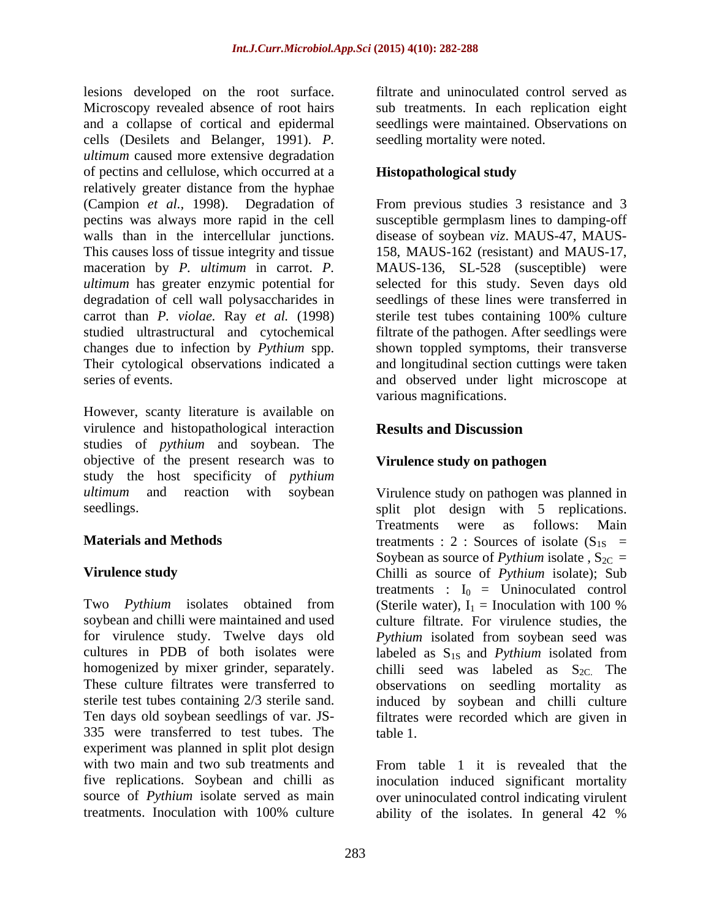lesions developed on the root surface. Microscopy revealed absence of root hairs sub treatments. In each replication eight and a collapse of cortical and epidermal cells (Desilets and Belanger, 1991). *P. ultimum* caused more extensive degradation of pectins and cellulose, which occurred at a relatively greater distance from the hyphae (Campion *et al.,* 1998). Degradation of From previous studies 3 resistance and 3 pectins was always more rapid in the cell susceptible germplasm lines to damping-off walls than in the intercellular junctions. This causes loss of tissue integrity and tissue 158, MAUS-162 (resistant) and MAUS-17, maceration by *P. ultimum* in carrot. *P.*  MAUS-136, SL-528 (susceptible) were *ultimum* has greater enzymic potential for selected for this study. Seven days old degradation of cell wall polysaccharides in carrot than *P. violae.* Ray *et al.* (1998) studied ultrastructural and cytochemical filtrate of the pathogen. After seedlings were changes due to infection by *Pythium* spp. shown toppled symptoms, their transverse Their cytological observations indicated a and longitudinal section cuttings were taken

However, scanty literature is available on virulence and histopathological interaction Results and Discussion studies of *pythium* and soybean. The objective of the present research was to study the host specificity of *pythium ultimum* and reaction with soybean Virulence study on pathogen was planned in

Two *Pythium* isolates obtained from (Sterile water),  $I_1 = Inoculation with 100 %$ soybean and chilli were maintained and used culture filtrate. For virulence studies, the for virulence study. Twelve days old *Pythium* isolated from soybean seed was cultures in PDB of both isolates were labeled as  $S_{1S}$  and Pythium isolated from homogenized by mixer grinder, separately. chilli seed was labeled as  $S_{2C}$ . The These culture filtrates were transferred to observations on seedling mortality as sterile test tubes containing 2/3 sterile sand. induced by soybean and chilli culture Ten days old soybean seedlings of var. JS- filtrates were recorded which are given in 335 were transferred to test tubes. The experiment was planned in split plot design with two main and two sub treatments and From table 1 it is revealed that the five replications. Soybean and chilli as inoculation induced significant mortality source of *Pythium* isolate served as main over uninoculated control indicating virulent

filtrate and uninoculated control served as seedlings were maintained. Observations on seedling mortality were noted.

### **Histopathological study**

series of events. and observed under light microscope at disease of soybean *viz*. MAUS-47, MAUS seedlings of these lines were transferred in sterile test tubes containing 100% culture various magnifications.

# **Results and Discussion**

### **Virulence study on pathogen**

seedlings. The split plot design with 5 replications. **Materials and Methods**  $t$  treatments : 2 : Sources of isolate  $(S_{1S}$  = **Virulence study** Chilli as source of *Pythium* isolate); Sub Treatments were as follows: Main Soybean as source of *Pythium* isolate,  $S_{2C}$  = treatments :  $I_0 =$  Uninoculated control (Sterile water),  $I_1$  = Inoculation with 100 % labeled as S<sub>1S</sub> and *Pythium* isolated from table 1.

treatments. Inoculation with 100% culture ability of the isolates. In general 42 %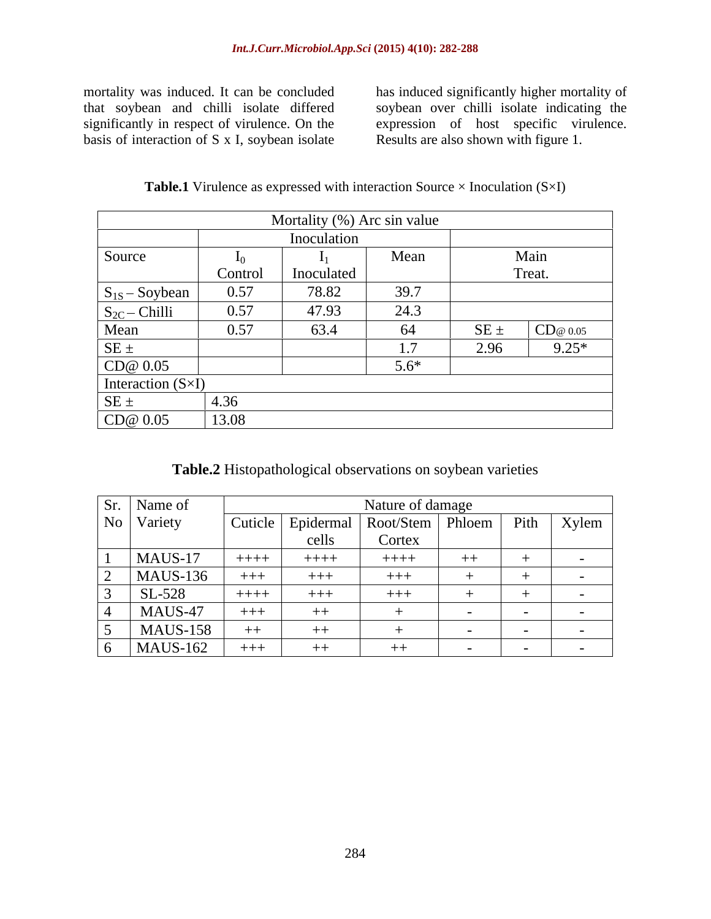basis of interaction of S x I, soybean isolate Results are also shown with figure 1.

mortality was induced. It can be concluded that soybean and chilli isolate differed significantly in respect of virulence. On the expression of host specific virulence. has induced significantly higher mortality of soybean over chilli isolate indicating the expression of host specific virulence. Results are also shown with figure 1.

| <b>Table.1</b> Virulence as expressed with interaction Source ><br>$\times$ Inoculation (S $\times$ I) |  |
|--------------------------------------------------------------------------------------------------------|--|
|--------------------------------------------------------------------------------------------------------|--|

|                            |         | Mortality (%) Arc sin value |                       |          |         |
|----------------------------|---------|-----------------------------|-----------------------|----------|---------|
|                            |         | Inoculation                 |                       |          |         |
| Source                     |         |                             | Mean                  |          | Main    |
|                            | Control | Inoculated                  |                       |          | Treat.  |
| $S_{1S}$ - Soybean         | 0.57    | 78.82                       | 39.7                  |          |         |
| $S_{2C}$ - Chilli          | 0.57    | 47.93                       | 24.3                  |          |         |
|                            | 0.57    | 63.4                        | 64                    | $SE \pm$ | CD@0.05 |
| $\frac{Mean}{SE \pm}$      |         |                             | <u>_</u><br>$\perp$ . | 2.96     | $9.25*$ |
| CD@0.05                    |         |                             | $5.6*$                |          |         |
| Interaction $(S \times I)$ |         |                             |                       |          |         |
| $SE \pm$                   | 4.36    |                             |                       |          |         |
| CD@0.05                    | 13.08   |                             |                       |          |         |

# **Table.2** Histopathological observations on soybean varieties

| Sr. Name of     |         |           | Nature of damage   |                                         |                                 |       |
|-----------------|---------|-----------|--------------------|-----------------------------------------|---------------------------------|-------|
| No Variety      | Cuticle | Epidermal | Root/Stem   Phloem |                                         | $\mathbf{D}^{\star}$ .1<br>P111 | Xylem |
|                 |         | cells     | Cortex             |                                         |                                 |       |
| $MAUS-17$       | $++++$  | $++++-$   | $++++$             | <b>Contract Contract Contract</b><br>十十 |                                 |       |
| $MAUS-136$      | $+++$   | $+++$     | $+++$              |                                         |                                 |       |
| SL-528          | $++++-$ | $+++$     | $+++$              |                                         |                                 |       |
| MAUS-47         | $+++$   | $++$      |                    |                                         |                                 |       |
| <b>MAUS-158</b> | $++$    | $++$      |                    |                                         |                                 |       |
| $MAUS-162$      | $+++$   | $++$      | $++$               |                                         |                                 |       |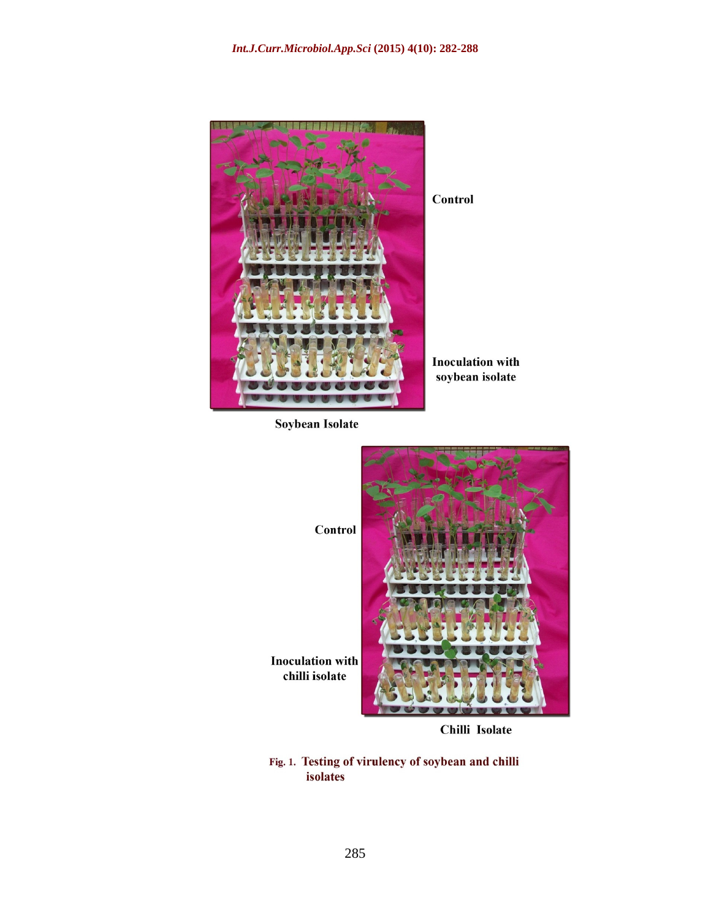

Soybean Isolate



Chilli Isolate

Fig. 1. Testing of virulency of soybean and chilli isolates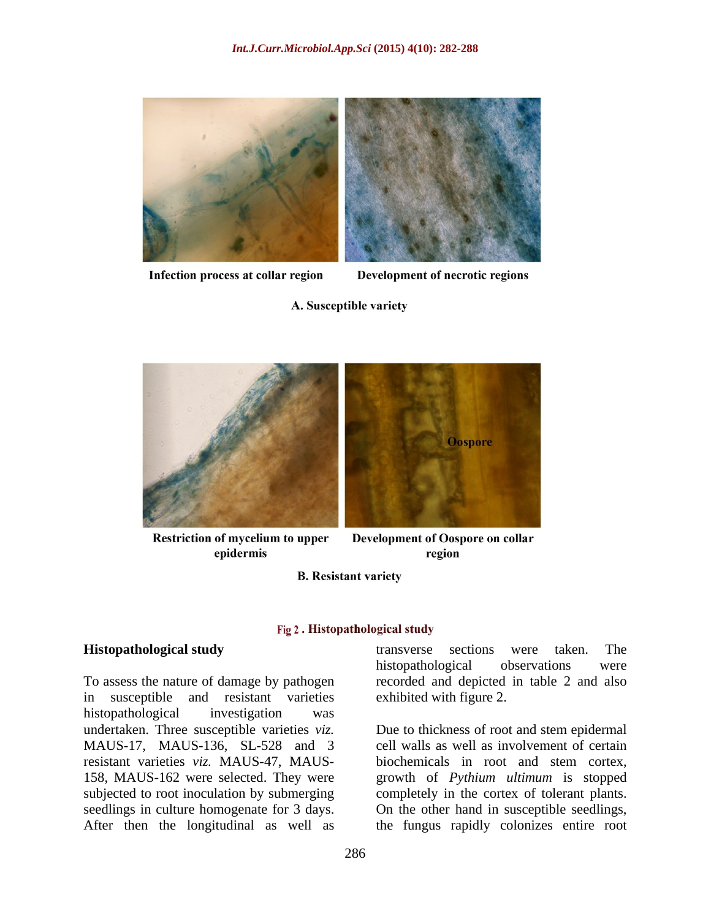

Infection process at collar region

Development of necrotic regions

### A. Susceptible variety



**Restriction of mycelium to upper** epidermis

Development of Oospore on collar region

**B.** Resistant variety

### Fig 2. Histopathological study

in susceptible and resistant varieties histopathological investigation was undertaken. Three susceptible varieties *viz.*  Due to thickness of root and stem epidermal MAUS-17, MAUS-136, SL-528 and 3 cell walls as well as involvement of certain resistant varieties *viz.* MAUS-47, MAUS- 158, MAUS-162 were selected. They were growth of *Pythium ultimum* is stopped subjected to root inoculation by submerging completely in the cortex of tolerant plants. seedlings in culture homogenate for 3 days. On the other hand in susceptible seedlings,

**Histopathological study** To assess the nature of damage by pathogen recorded and depicted in table2 and also transverse sections were taken. The histopathological observations were exhibited with figure 2.

After then the longitudinal as well as the fungus rapidly colonizes entire rootbiochemicals in root and stem cortex,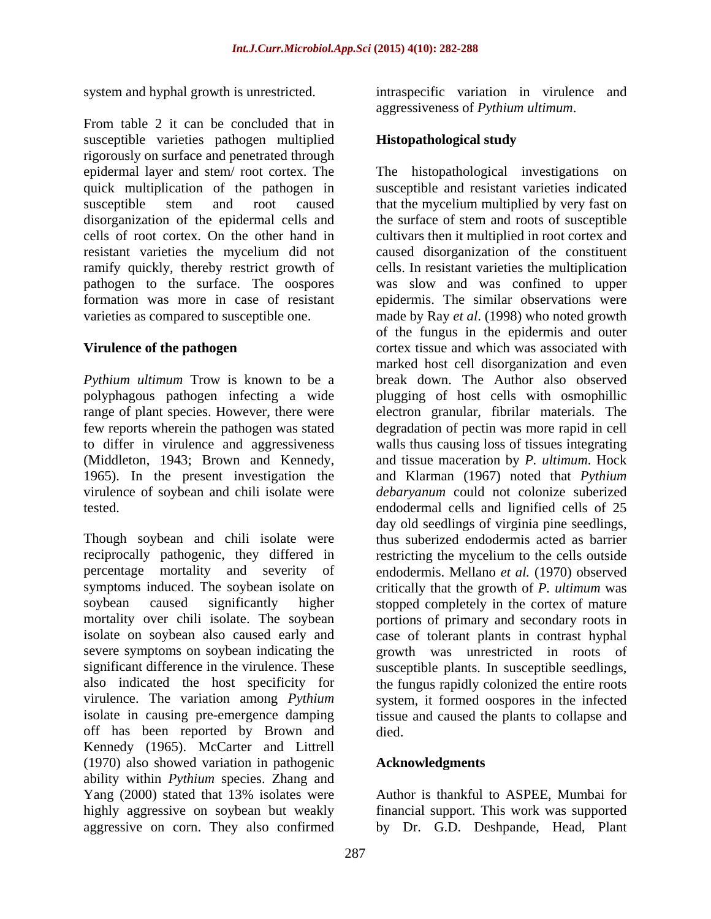From table 2 it can be concluded that in susceptible varieties pathogen multiplied **Histopathological study** rigorously on surface and penetrated through

virulence of soybean and chili isolate were

Though soybean and chili isolate were virulence. The variation among *Pythium* off has been reported by Brown and Kennedy (1965). McCarter and Littrell (1970) also showed variation in pathogenic ability within *Pythium* species. Zhang and Yang (2000) stated that 13% isolates were highly aggressive on soybean but weakly financial support. This work was supported aggressive on corn. They also confirmed

system and hyphal growth is unrestricted. intraspecific variation in virulence and aggressiveness of *Pythium ultimum*.

### **Histopathological study**

epidermal layer and stem/ root cortex. The The histopathological investigations on quick multiplication of the pathogen in susceptible and resistant varieties indicated susceptible stem and root caused that the mycelium multiplied by very fast on disorganization of the epidermal cells and the surface of stem and roots of susceptible cells of root cortex. On the other hand in cultivars then it multiplied in root cortex and resistant varieties the mycelium did not caused disorganization of the constituent ramify quickly, thereby restrict growth of cells. In resistant varieties the multiplication pathogen to the surface. The oospores was slow and was confined to upper formation was more in case of resistant epidermis. The similar observations were varieties as compared to susceptible one. made by Ray *et al*. (1998) who noted growth **Virulence of the pathogen** cortex tissue and which was associated with *Pythium ultimum* Trow is known to be a break down. The Author also observed polyphagous pathogen infecting a wide plugging of host cells with osmophillic range of plant species. However, there were electron granular, fibrilar materials. The few reports wherein the pathogen was stated degradation of pectin was more rapid in cell to differ in virulence and aggressiveness walls thus causing lossof tissues integrating (Middleton, 1943; Brown and Kennedy, and tissue maceration by *P. ultimum*. Hock 1965). In the present investigation the and Klarman (1967) noted that *Pythium*  tested. endodermal cells and lignified cells of 25 reciprocally pathogenic, they differed in restricting the mycelium to the cells outside percentage mortality and severity of endodermis. Mellano *et al.* (1970) observed symptoms induced. The soybean isolate on critically that the growth of *P. ultimum* was soybean caused significantly higher stopped completely in the cortex of mature mortality over chili isolate. The soybean portions of primary and secondary roots in isolate on soybean also caused early and case of tolerant plants in contrast hyphal severe symptoms on soybean indicating the growth was unrestricted in roots of significant difference in the virulence. These susceptible plants. In susceptible seedlings, also indicated the host specificity for the fungus rapidly colonized the entire roots isolate in causing pre-emergence damping tissue and caused the plants to collapse and of the fungus in the epidermis and outer marked host cell disorganization and even *debaryanum* could not colonize suberized day old seedlings of virginia pine seedlings, thus suberized endodermis acted as barrier system, it formed oospores in the infected died. **a** contract the contract of the contract of the contract of the contract of the contract of the contract of the contract of the contract of the contract of the contract of the contract of the contract of the contrac

## **Acknowledgments**

Author is thankful to ASPEE, Mumbai for by Dr. G.D. Deshpande, Head, Plant